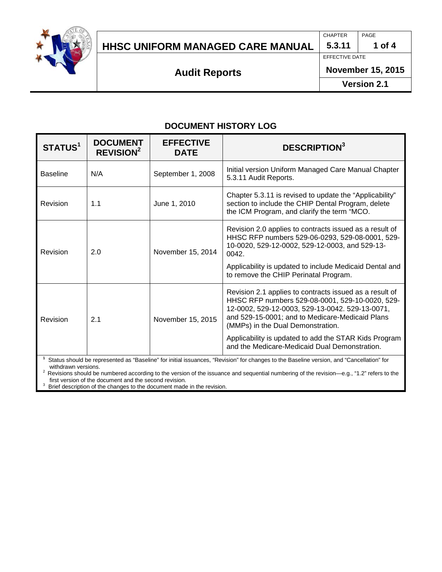

## **HHSC UNIFORM MANAGED CARE MANUAL 5.3.11 1 of 4**

CHAPTER PAGE

EFFECTIVE DATE

**Audit Reports**

**November 15, 2015**

**Version 2.1**

## **DOCUMENT HISTORY LOG**

| STATUS <sup>1</sup> | <b>DOCUMENT</b><br><b>REVISION<sup>2</sup></b> | <b>EFFECTIVE</b><br><b>DATE</b> | <b>DESCRIPTION</b> <sup>3</sup>                                                                                                                                                                                                                                                                                                                                 |
|---------------------|------------------------------------------------|---------------------------------|-----------------------------------------------------------------------------------------------------------------------------------------------------------------------------------------------------------------------------------------------------------------------------------------------------------------------------------------------------------------|
| <b>Baseline</b>     | N/A                                            | September 1, 2008               | Initial version Uniform Managed Care Manual Chapter<br>5.3.11 Audit Reports.                                                                                                                                                                                                                                                                                    |
| Revision            | 1.1                                            | June 1, 2010                    | Chapter 5.3.11 is revised to update the "Applicability"<br>section to include the CHIP Dental Program, delete<br>the ICM Program, and clarify the term "MCO.                                                                                                                                                                                                    |
| Revision            | 2.0                                            | November 15, 2014               | Revision 2.0 applies to contracts issued as a result of<br>HHSC RFP numbers 529-06-0293, 529-08-0001, 529-<br>10-0020, 529-12-0002, 529-12-0003, and 529-13-<br>0042.<br>Applicability is updated to include Medicaid Dental and<br>to remove the CHIP Perinatal Program.                                                                                       |
| Revision            | 2.1                                            | November 15, 2015               | Revision 2.1 applies to contracts issued as a result of<br>HHSC RFP numbers 529-08-0001, 529-10-0020, 529-<br>12-0002, 529-12-0003, 529-13-0042. 529-13-0071,<br>and 529-15-0001; and to Medicare-Medicaid Plans<br>(MMPs) in the Dual Demonstration.<br>Applicability is updated to add the STAR Kids Program<br>and the Medicare-Medicaid Dual Demonstration. |

**1** Status should be represented as "Baseline" for initial issuances, "Revision" for changes to the Baseline version, and "Cancellation" for

2 Revisions should be numbered according to the version of the issuance and sequential numbering of the revision—e.g., "1.2" refers to the first version of the document and the second revision.

Brief description of the changes to the document made in the revision.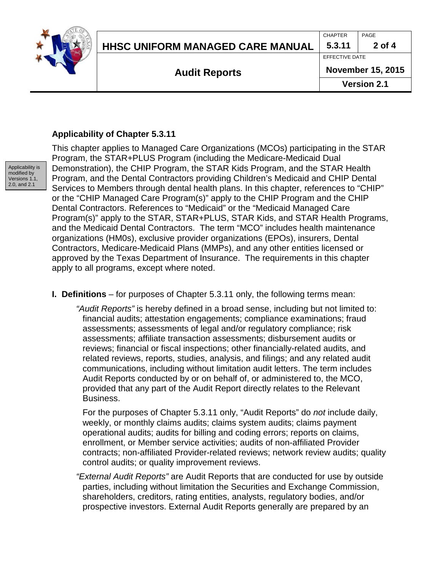

CHAPTER PAGE

**Audit Reports**

**Version 2.1**

## **Applicability of Chapter 5.3.11**



This chapter applies to Managed Care Organizations (MCOs) participating in the STAR Program, the STAR+PLUS Program (including the Medicare-Medicaid Dual Demonstration), the CHIP Program, the STAR Kids Program, and the STAR Health Program, and the Dental Contractors providing Children's Medicaid and CHIP Dental Services to Members through dental health plans. In this chapter, references to "CHIP" or the "CHIP Managed Care Program(s)" apply to the CHIP Program and the CHIP Dental Contractors. References to "Medicaid" or the "Medicaid Managed Care Program(s)" apply to the STAR, STAR+PLUS, STAR Kids, and STAR Health Programs, and the Medicaid Dental Contractors. The term "MCO" includes health maintenance organizations (HM0s), exclusive provider organizations (EPOs), insurers, Dental Contractors, Medicare-Medicaid Plans (MMPs), and any other entities licensed or approved by the Texas Department of Insurance. The requirements in this chapter apply to all programs, except where noted.

- **I. Definitions** for purposes of Chapter 5.3.11 only, the following terms mean:
	- *"Audit Reports"* is hereby defined in a broad sense, including but not limited to: financial audits; attestation engagements; compliance examinations; fraud assessments; assessments of legal and/or regulatory compliance; risk assessments; affiliate transaction assessments; disbursement audits or reviews; financial or fiscal inspections; other financially-related audits, and related reviews, reports, studies, analysis, and filings; and any related audit communications, including without limitation audit letters. The term includes Audit Reports conducted by or on behalf of, or administered to, the MCO, provided that any part of the Audit Report directly relates to the Relevant Business.

For the purposes of Chapter 5.3.11 only, "Audit Reports" do *not* include daily, weekly, or monthly claims audits; claims system audits; claims payment operational audits; audits for billing and coding errors; reports on claims, enrollment, or Member service activities; audits of non-affiliated Provider contracts; non-affiliated Provider-related reviews; network review audits; quality control audits; or quality improvement reviews.

*"External Audit Reports"* are Audit Reports that are conducted for use by outside parties, including without limitation the Securities and Exchange Commission, shareholders, creditors, rating entities, analysts, regulatory bodies, and/or prospective investors. External Audit Reports generally are prepared by an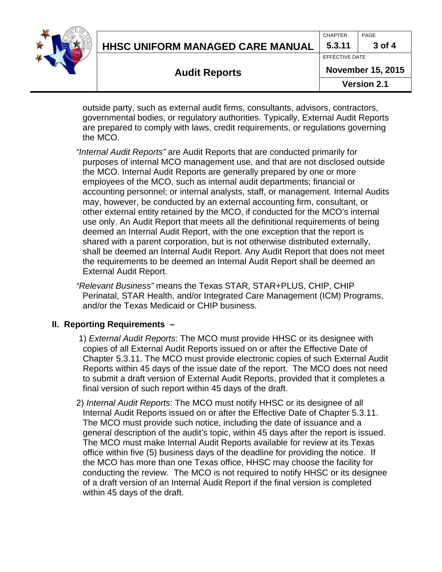|  | <b>Audit Reports</b>             |                | <b>Version 2.1</b>       |  |
|--|----------------------------------|----------------|--------------------------|--|
|  |                                  |                | <b>November 15, 2015</b> |  |
|  |                                  | EFFECTIVE DATE |                          |  |
|  | HHSC UNIFORM MANAGED CARE MANUAL | 5.3.11         | 3 of 4                   |  |
|  |                                  | <b>CHAPTER</b> | PAGE                     |  |
|  |                                  |                |                          |  |

outside party, such as external audit firms, consultants, advisors, contractors, governmental bodies, or regulatory authorities. Typically, External Audit Reports are prepared to comply with laws, credit requirements, or regulations governing the MCO.

- *"Internal Audit Reports"* are Audit Reports that are conducted primarily for purposes of internal MCO management use, and that are not disclosed outside the MCO. Internal Audit Reports are generally prepared by one or more employees of the MCO, such as internal audit departments; financial or accounting personnel; or internal analysts, staff, or management. Internal Audits may, however, be conducted by an external accounting firm, consultant, or other external entity retained by the MCO, if conducted for the MCO's internal use only. An Audit Report that meets all the definitional requirements of being deemed an Internal Audit Report, with the one exception that the report is shared with a parent corporation, but is not otherwise distributed externally, shall be deemed an Internal Audit Report. Any Audit Report that does not meet the requirements to be deemed an Internal Audit Report shall be deemed an External Audit Report.
- *"Relevant Business"* means the Texas STAR, STAR+PLUS, CHIP, CHIP Perinatal, STAR Health, and/or Integrated Care Management (ICM) Programs, and/or the Texas Medicaid or CHIP business.

## **II. Reporting Requirements –**

- 1) *External Audit Reports*: The MCO must provide HHSC or its designee with copies of all External Audit Reports issued on or after the Effective Date of Chapter 5.3.11. The MCO must provide electronic copies of such External Audit Reports within 45 days of the issue date of the report. The MCO does not need to submit a draft version of External Audit Reports, provided that it completes a final version of such report within 45 days of the draft.
- 2) *Internal Audit Reports*: The MCO must notify HHSC or its designee of all Internal Audit Reports issued on or after the Effective Date of Chapter 5.3.11. The MCO must provide such notice, including the date of issuance and a general description of the audit's topic, within 45 days after the report is issued. The MCO must make Internal Audit Reports available for review at its Texas office within five (5) business days of the deadline for providing the notice. If the MCO has more than one Texas office, HHSC may choose the facility for conducting the review. The MCO is not required to notify HHSC or its designee of a draft version of an Internal Audit Report if the final version is completed within 45 days of the draft.